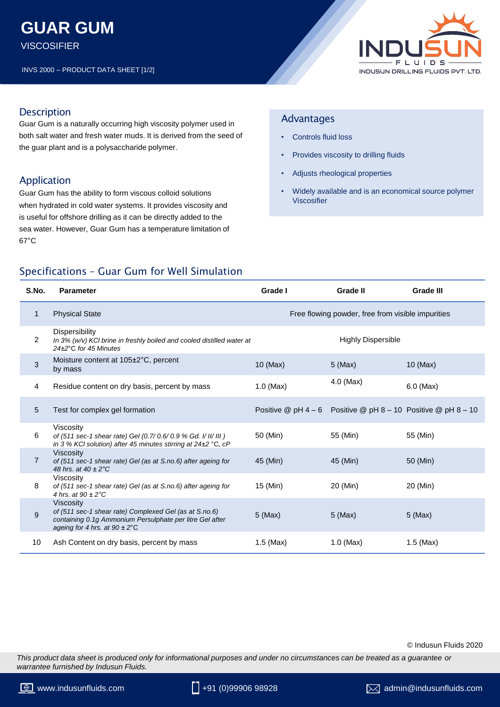# **GUAR GUM**

**VISCOSIFIER** 

INVS 2000 – PRODUCT DATA SHEET [1/2]



## **Description**

Guar Gum is a naturally occurring high viscosity polymer used in both salt water and fresh water muds. It is derived from the seed of the guar plant and is a polysaccharide polymer.

# Application

Guar Gum has the ability to form viscous colloid solutions when hydrated in cold water systems. It provides viscosity and is useful for offshore drilling as it can be directly added to the sea water. However, Guar Gum has a temperature limitation of 67°C

## Advantages

- Controls fluid loss
- Provides viscosity to drilling fluids
- Adjusts rheological properties
- Widely available and is an economical source polymer Viscosifier

# Specifications – Guar Gum for Well Simulation

| S.No.          | <b>Parameter</b>                                                                                                                                                                    | Grade I                                           | Grade II                                                            | <b>Grade III</b> |
|----------------|-------------------------------------------------------------------------------------------------------------------------------------------------------------------------------------|---------------------------------------------------|---------------------------------------------------------------------|------------------|
| 1              | <b>Physical State</b>                                                                                                                                                               | Free flowing powder, free from visible impurities |                                                                     |                  |
| $\overline{2}$ | Dispersibility<br>In 3% (w/v) KCI brine in freshly boiled and cooled distilled water at<br>24±2°C for 45 Minutes                                                                    |                                                   | <b>Highly Dispersible</b>                                           |                  |
| 3              | Moisture content at 105±2°C, percent<br>by mass                                                                                                                                     | $10$ (Max)                                        | $5$ (Max)                                                           | $10$ (Max)       |
| 4              | Residue content on dry basis, percent by mass                                                                                                                                       | $1.0$ (Max)                                       | 4.0 (Max)                                                           | $6.0$ (Max)      |
| 5              | Test for complex gel formation                                                                                                                                                      |                                                   | Positive $@$ pH 4 - 6 Positive $@$ pH 8 - 10 Positive $@$ pH 8 - 10 |                  |
| 6              | Viscosity<br>of (511 sec-1 shear rate) Gel (0.7/ 0.6/ 0.9 % Gd. I/ II/ III)<br>in 3 % KCI solution) after 45 minutes stirring at 24±2 °C, cP                                        | 50 (Min)                                          | 55 (Min)                                                            | 55 (Min)         |
| $\overline{7}$ | <b>Viscosity</b><br>of (511 sec-1 shear rate) Gel (as at S.no.6) after ageing for<br>48 hrs. at $40 \pm 2^{\circ}$ C                                                                | 45 (Min)                                          | 45 (Min)                                                            | 50 (Min)         |
| 8              | Viscosity<br>of (511 sec-1 shear rate) Gel (as at S.no.6) after ageing for<br>4 hrs. at $90 \pm 2^{\circ}$ C                                                                        | 15 (Min)                                          | 20 (Min)                                                            | 20 (Min)         |
| 9              | <b>Viscosity</b><br>of (511 sec-1 shear rate) Complexed Gel (as at S.no.6)<br>containing 0.1g Ammonium Persulphate per litre Gel after<br>ageing for 4 hrs. at $90 \pm 2^{\circ}$ C | $5$ (Max)                                         | $5$ (Max)                                                           | $5$ (Max)        |
| 10             | Ash Content on dry basis, percent by mass                                                                                                                                           | $1.5$ (Max)                                       | $1.0$ (Max)                                                         | $1.5$ (Max)      |

#### © Indusun Fluids 2020

*This product data sheet is produced only for informational purposes and under no circumstances can be treated as a guarantee or warrantee furnished by Indusun Fluids.*